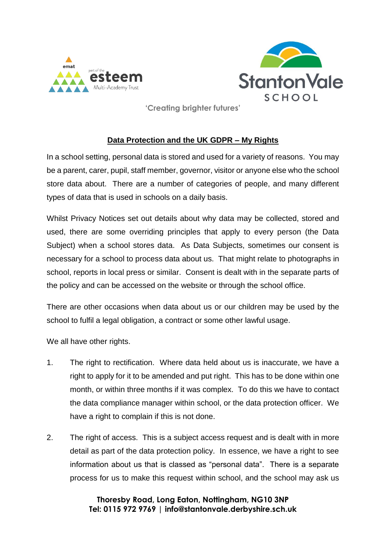



**'Creating brighter futures'** 

## **Data Protection and the UK GDPR – My Rights**

In a school setting, personal data is stored and used for a variety of reasons. You may be a parent, carer, pupil, staff member, governor, visitor or anyone else who the school store data about. There are a number of categories of people, and many different types of data that is used in schools on a daily basis.

Whilst Privacy Notices set out details about why data may be collected, stored and used, there are some overriding principles that apply to every person (the Data Subject) when a school stores data. As Data Subjects, sometimes our consent is necessary for a school to process data about us. That might relate to photographs in school, reports in local press or similar. Consent is dealt with in the separate parts of the policy and can be accessed on the website or through the school office.

There are other occasions when data about us or our children may be used by the school to fulfil a legal obligation, a contract or some other lawful usage.

We all have other rights.

- 1. The right to rectification. Where data held about us is inaccurate, we have a right to apply for it to be amended and put right. This has to be done within one month, or within three months if it was complex. To do this we have to contact the data compliance manager within school, or the data protection officer. We have a right to complain if this is not done.
- 2. The right of access. This is a subject access request and is dealt with in more detail as part of the data protection policy. In essence, we have a right to see information about us that is classed as "personal data". There is a separate process for us to make this request within school, and the school may ask us

**Thoresby Road, Long Eaton, Nottingham, NG10 3NP Tel: 0115 972 9769 | info@stantonvale.derbyshire.sch.uk**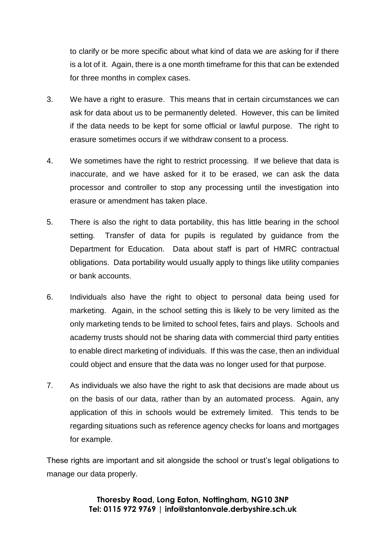to clarify or be more specific about what kind of data we are asking for if there is a lot of it. Again, there is a one month timeframe for this that can be extended for three months in complex cases.

- 3. We have a right to erasure. This means that in certain circumstances we can ask for data about us to be permanently deleted. However, this can be limited if the data needs to be kept for some official or lawful purpose. The right to erasure sometimes occurs if we withdraw consent to a process.
- 4. We sometimes have the right to restrict processing. If we believe that data is inaccurate, and we have asked for it to be erased, we can ask the data processor and controller to stop any processing until the investigation into erasure or amendment has taken place.
- 5. There is also the right to data portability, this has little bearing in the school setting. Transfer of data for pupils is regulated by guidance from the Department for Education. Data about staff is part of HMRC contractual obligations. Data portability would usually apply to things like utility companies or bank accounts.
- 6. Individuals also have the right to object to personal data being used for marketing. Again, in the school setting this is likely to be very limited as the only marketing tends to be limited to school fetes, fairs and plays. Schools and academy trusts should not be sharing data with commercial third party entities to enable direct marketing of individuals. If this was the case, then an individual could object and ensure that the data was no longer used for that purpose.
- 7. As individuals we also have the right to ask that decisions are made about us on the basis of our data, rather than by an automated process. Again, any application of this in schools would be extremely limited. This tends to be regarding situations such as reference agency checks for loans and mortgages for example.

These rights are important and sit alongside the school or trust's legal obligations to manage our data properly.

> **Thoresby Road, Long Eaton, Nottingham, NG10 3NP Tel: 0115 972 9769 | info@stantonvale.derbyshire.sch.uk**